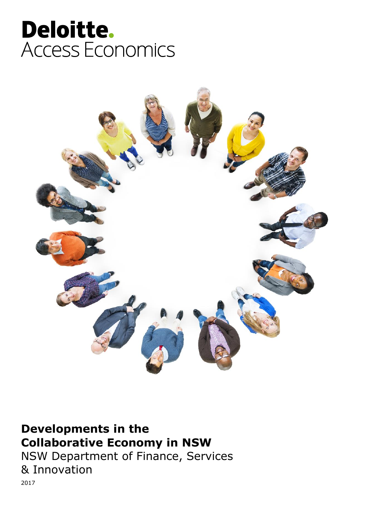# Deloitte. **Access Economics**



### **Developments in the Collaborative Economy in NSW**

NSW Department of Finance, Services & Innovation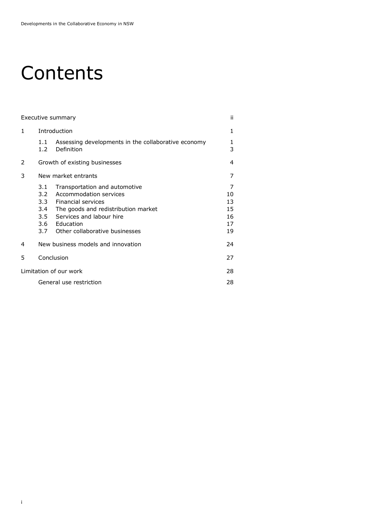# Contents

| Executive summary      |                                                                                |                                                                                                                                                                  |                                       |  |
|------------------------|--------------------------------------------------------------------------------|------------------------------------------------------------------------------------------------------------------------------------------------------------------|---------------------------------------|--|
| $\mathbf{1}$           | Introduction                                                                   |                                                                                                                                                                  |                                       |  |
|                        | 1.1<br>Definition<br>1.2 <sub>1</sub>                                          | Assessing developments in the collaborative economy                                                                                                              | 1<br>3                                |  |
| 2                      | Growth of existing businesses                                                  |                                                                                                                                                                  |                                       |  |
| 3                      | New market entrants                                                            |                                                                                                                                                                  |                                       |  |
|                        | 3.1<br>$3.2 -$<br>Financial services<br>$3.3 -$<br>3.4<br>3.5<br>3.6 Education | Transportation and automotive<br>Accommodation services<br>The goods and redistribution market<br>Services and labour hire<br>3.7 Other collaborative businesses | 7<br>10<br>13<br>15<br>16<br>17<br>19 |  |
| 4                      | New business models and innovation                                             |                                                                                                                                                                  | 24                                    |  |
| 5                      | Conclusion                                                                     |                                                                                                                                                                  | 27                                    |  |
| Limitation of our work |                                                                                |                                                                                                                                                                  |                                       |  |
|                        | General use restriction                                                        |                                                                                                                                                                  |                                       |  |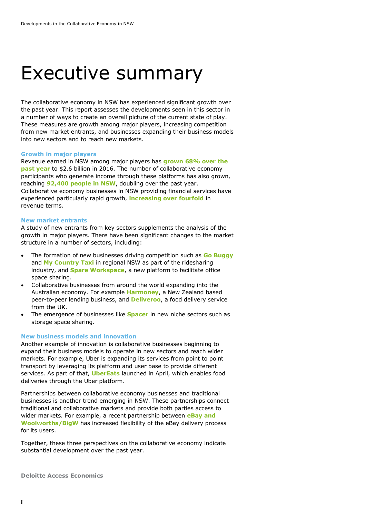### Executive summary

The collaborative economy in NSW has experienced significant growth over the past year. This report assesses the developments seen in this sector in a number of ways to create an overall picture of the current state of play. These measures are growth among major players, increasing competition from new market entrants, and businesses expanding their business models into new sectors and to reach new markets.

#### **Growth in major players**

Revenue earned in NSW among major players has **grown 68% over the past year** to \$2.6 billion in 2016. The number of collaborative economy participants who generate income through these platforms has also grown, reaching **92,400 people in NSW**, doubling over the past year. Collaborative economy businesses in NSW providing financial services have experienced particularly rapid growth, **increasing over fourfold** in revenue terms.

#### **New market entrants**

A study of new entrants from key sectors supplements the analysis of the growth in major players. There have been significant changes to the market structure in a number of sectors, including:

- The formation of new businesses driving competition such as **Go Buggy** and **My Country Taxi** in regional NSW as part of the ridesharing industry, and **Spare Workspace**, a new platform to facilitate office space sharing.
- Collaborative businesses from around the world expanding into the Australian economy. For example **Harmoney**, a New Zealand based peer-to-peer lending business, and **Deliveroo**, a food delivery service from the UK.
- The emergence of businesses like **Spacer** in new niche sectors such as storage space sharing.

#### **New business models and innovation**

Another example of innovation is collaborative businesses beginning to expand their business models to operate in new sectors and reach wider markets. For example, Uber is expanding its services from point to point transport by leveraging its platform and user base to provide different services. As part of that, **UberEats** launched in April, which enables food deliveries through the Uber platform.

Partnerships between collaborative economy businesses and traditional businesses is another trend emerging in NSW. These partnerships connect traditional and collaborative markets and provide both parties access to wider markets. For example, a recent partnership between **eBay and Woolworths/BigW** has increased flexibility of the eBay delivery process for its users.

Together, these three perspectives on the collaborative economy indicate substantial development over the past year.

**Deloitte Access Economics**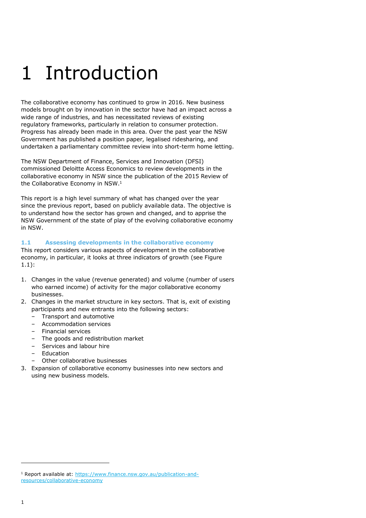# 1 Introduction

The collaborative economy has continued to grow in 2016. New business models brought on by innovation in the sector have had an impact across a wide range of industries, and has necessitated reviews of existing regulatory frameworks, particularly in relation to consumer protection. Progress has already been made in this area. Over the past year the NSW Government has published a position paper, legalised ridesharing, and undertaken a parliamentary committee review into short-term home letting.

The NSW Department of Finance, Services and Innovation (DFSI) commissioned Deloitte Access Economics to review developments in the collaborative economy in NSW since the publication of the 2015 Review of the Collaborative Economy in NSW. 1

This report is a high level summary of what has changed over the year since the previous report, based on publicly available data. The objective is to understand how the sector has grown and changed, and to apprise the NSW Government of the state of play of the evolving collaborative economy in NSW.

#### **1.1 Assessing developments in the collaborative economy**

This report considers various aspects of development in the collaborative economy, in particular, it looks at three indicators of growth (see Figure 1.1):

- 1. Changes in the value (revenue generated) and volume (number of users who earned income) of activity for the major collaborative economy businesses.
- 2. Changes in the market structure in key sectors. That is, exit of existing participants and new entrants into the following sectors:
	- Transport and automotive
	- Accommodation services
	- Financial services
	- The goods and redistribution market
	- Services and labour hire
	- Education
	- Other collaborative businesses
- 3. Expansion of collaborative economy businesses into new sectors and using new business models.

<sup>&</sup>lt;sup>1</sup> Report available at: [https://www.finance.nsw.gov.au/publication-and](https://www.finance.nsw.gov.au/publication-and-resources/collaborative-economy)[resources/collaborative-economy](https://www.finance.nsw.gov.au/publication-and-resources/collaborative-economy)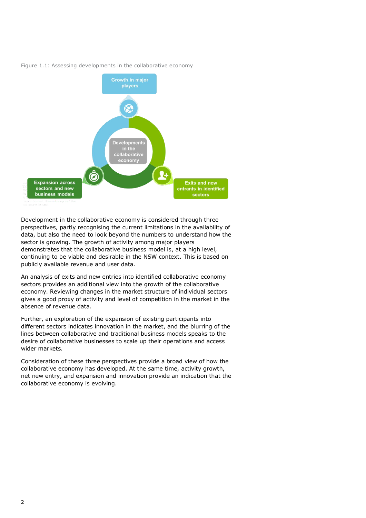

#### Figure 1.1: Assessing developments in the collaborative economy

Development in the collaborative economy is considered through three perspectives, partly recognising the current limitations in the availability of data, but also the need to look beyond the numbers to understand how the sector is growing. The growth of activity among major players demonstrates that the collaborative business model is, at a high level, continuing to be viable and desirable in the NSW context. This is based on publicly available revenue and user data.

An analysis of exits and new entries into identified collaborative economy sectors provides an additional view into the growth of the collaborative economy. Reviewing changes in the market structure of individual sectors gives a good proxy of activity and level of competition in the market in the absence of revenue data.

Further, an exploration of the expansion of existing participants into different sectors indicates innovation in the market, and the blurring of the lines between collaborative and traditional business models speaks to the desire of collaborative businesses to scale up their operations and access wider markets.

Consideration of these three perspectives provide a broad view of how the collaborative economy has developed. At the same time, activity growth, net new entry, and expansion and innovation provide an indication that the collaborative economy is evolving.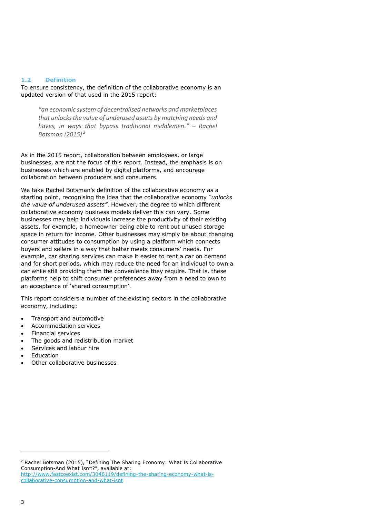#### **1.2 Definition**

To ensure consistency, the definition of the collaborative economy is an updated version of that used in the 2015 report:

*"an economic system of decentralised networks and marketplaces that unlocks the value of underused assets by matching needs and haves, in ways that bypass traditional middlemen." – Rachel Botsman (2015) 2*

As in the 2015 report, collaboration between employees, or large businesses, are not the focus of this report. Instead, the emphasis is on businesses which are enabled by digital platforms, and encourage collaboration between producers and consumers.

We take Rachel Botsman's definition of the collaborative economy as a starting point, recognising the idea that the collaborative economy *"unlocks the value of underused assets"*. However, the degree to which different collaborative economy business models deliver this can vary. Some businesses may help individuals increase the productivity of their existing assets, for example, a homeowner being able to rent out unused storage space in return for income. Other businesses may simply be about changing consumer attitudes to consumption by using a platform which connects buyers and sellers in a way that better meets consumers' needs. For example, car sharing services can make it easier to rent a car on demand and for short periods, which may reduce the need for an individual to own a car while still providing them the convenience they require. That is, these platforms help to shift consumer preferences away from a need to own to an acceptance of 'shared consumption'.

This report considers a number of the existing sectors in the collaborative economy, including:

- Transport and automotive
- Accommodation services
- Financial services
- The goods and redistribution market
- Services and labour hire
- Education
- Other collaborative businesses

<sup>2</sup> Rachel Botsman (2015), "Defining The Sharing Economy: What Is Collaborative Consumption-And What Isn't?", available at: [http://www.fastcoexist.com/3046119/defining-the-sharing-economy-what-is](http://www.fastcoexist.com/3046119/defining-the-sharing-economy-what-is-collaborative-consumption-and-what-isnt)[collaborative-consumption-and-what-isnt](http://www.fastcoexist.com/3046119/defining-the-sharing-economy-what-is-collaborative-consumption-and-what-isnt)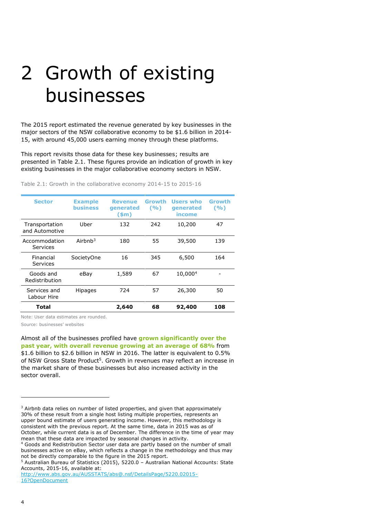# 2 Growth of existing businesses

The 2015 report estimated the revenue generated by key businesses in the major sectors of the NSW collaborative economy to be \$1.6 billion in 2014- 15, with around 45,000 users earning money through these platforms.

This report revisits those data for these key businesses; results are presented in Table 2.1. These figures provide an indication of growth in key existing businesses in the major collaborative economy sectors in NSW.

| <b>Sector</b>                    | <b>Example</b><br><b>business</b> | <b>Revenue</b><br>generated<br>$(\text{5m})$ | Growth<br>(9/0) | Users who<br>generated<br>income | Growth<br>(9/6) |
|----------------------------------|-----------------------------------|----------------------------------------------|-----------------|----------------------------------|-----------------|
| Transportation<br>and Automotive | Uber                              | 132                                          | 242             | 10,200                           | 47              |
| Accommodation<br>Services        | Airhn $h^3$                       | 180                                          | 55              | 39,500                           | 139             |
| Financial<br>Services            | SocietyOne                        | 16                                           | 345             | 6,500                            | 164             |
| Goods and<br>Redistribution      | eBay                              | 1,589                                        | 67              | 10,0004                          |                 |
| Services and<br>Labour Hire      | <b>Hipages</b>                    | 724                                          | 57              | 26,300                           | 50              |
| Total                            |                                   | 2,640                                        | 68              | 92,400                           | 108             |

Table 2.1: Growth in the collaborative economy 2014-15 to 2015-16

Note: User data estimates are rounded.

Source: businesses' websites

Almost all of the businesses profiled have **grown significantly over the past year, with overall revenue growing at an average of 68%** from \$1.6 billion to \$2.6 billion in NSW in 2016. The latter is equivalent to 0.5% of NSW Gross State Product<sup>5</sup>. Growth in revenues may reflect an increase in the market share of these businesses but also increased activity in the sector overall.

<sup>&</sup>lt;sup>3</sup> Airbnb data relies on number of listed properties, and given that approximately 30% of these result from a single host listing multiple properties, represents an upper bound estimate of users generating income. However, this methodology is consistent with the previous report. At the same time, data in 2015 was as of October, while current data is as of December. The difference in the time of year may mean that these data are impacted by seasonal changes in activity.

<sup>4</sup> Goods and Redistribution Sector user data are partly based on the number of small businesses active on eBay, which reflects a change in the methodology and thus may not be directly comparable to the figure in the 2015 report.

<sup>5</sup> Australian Bureau of Statistics (2015), 5220.0 – Australian National Accounts: State Accounts, 2015-16, available at:

[http://www.abs.gov.au/AUSSTATS/abs@.nsf/DetailsPage/5220.02015-](http://www.abs.gov.au/AUSSTATS/abs@.nsf/DetailsPage/5220.02015-16?OpenDocument) [16?OpenDocument](http://www.abs.gov.au/AUSSTATS/abs@.nsf/DetailsPage/5220.02015-16?OpenDocument)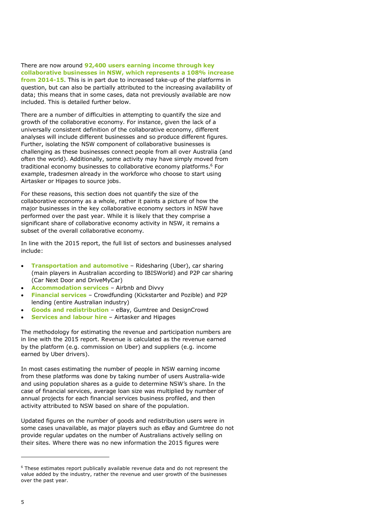There are now around **92,400 users earning income through key collaborative businesses in NSW, which represents a 108% increase from 2014-15**. This is in part due to increased take-up of the platforms in question, but can also be partially attributed to the increasing availability of data; this means that in some cases, data not previously available are now included. This is detailed further below.

There are a number of difficulties in attempting to quantify the size and growth of the collaborative economy. For instance, given the lack of a universally consistent definition of the collaborative economy, different analyses will include different businesses and so produce different figures. Further, isolating the NSW component of collaborative businesses is challenging as these businesses connect people from all over Australia (and often the world). Additionally, some activity may have simply moved from traditional economy businesses to collaborative economy platforms.<sup>6</sup> For example, tradesmen already in the workforce who choose to start using Airtasker or Hipages to source jobs.

For these reasons, this section does not quantify the size of the collaborative economy as a whole, rather it paints a picture of how the major businesses in the key collaborative economy sectors in NSW have performed over the past year. While it is likely that they comprise a significant share of collaborative economy activity in NSW, it remains a subset of the overall collaborative economy.

In line with the 2015 report, the full list of sectors and businesses analysed include:

- **Transportation and automotive** Ridesharing (Uber), car sharing (main players in Australian according to IBISWorld) and P2P car sharing (Car Next Door and DriveMyCar)
- **Accommodation services** Airbnb and Divvy
- **Financial services** Crowdfunding (Kickstarter and Pozible) and P2P lending (entire Australian industry)
- **Goods and redistribution** eBay, Gumtree and DesignCrowd
- **Services and labour hire** Airtasker and Hipages

The methodology for estimating the revenue and participation numbers are in line with the 2015 report. Revenue is calculated as the revenue earned by the platform (e.g. commission on Uber) and suppliers (e.g. income earned by Uber drivers).

In most cases estimating the number of people in NSW earning income from these platforms was done by taking number of users Australia-wide and using population shares as a guide to determine NSW's share. In the case of financial services, average loan size was multiplied by number of annual projects for each financial services business profiled, and then activity attributed to NSW based on share of the population.

Updated figures on the number of goods and redistribution users were in some cases unavailable, as major players such as eBay and Gumtree do not provide regular updates on the number of Australians actively selling on their sites. Where there was no new information the 2015 figures were

 $6$  These estimates report publically available revenue data and do not represent the value added by the industry, rather the revenue and user growth of the businesses over the past year.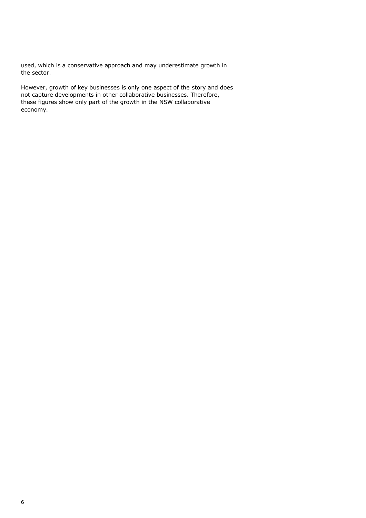used, which is a conservative approach and may underestimate growth in the sector.

However, growth of key businesses is only one aspect of the story and does not capture developments in other collaborative businesses. Therefore, these figures show only part of the growth in the NSW collaborative economy.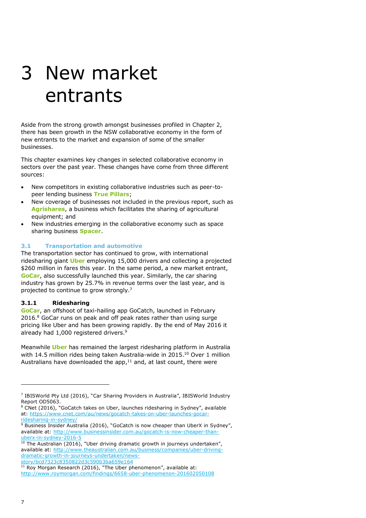# 3 New market entrants

Aside from the strong growth amongst businesses profiled in Chapter 2, there has been growth in the NSW collaborative economy in the form of new entrants to the market and expansion of some of the smaller businesses.

This chapter examines key changes in selected collaborative economy in sectors over the past year. These changes have come from three different sources:

- New competitors in existing collaborative industries such as peer-topeer lending business **True Pillars**;
- New coverage of businesses not included in the previous report, such as **Agrishares**, a business which facilitates the sharing of agricultural equipment; and
- New industries emerging in the collaborative economy such as space sharing business **Spacer**.

#### **3.1 Transportation and automotive**

The transportation sector has continued to grow, with international ridesharing giant **Uber** employing 15,000 drivers and collecting a projected \$260 million in fares this year. In the same period, a new market entrant, **GoCar**, also successfully launched this year. Similarly, the car sharing industry has grown by 25.7% in revenue terms over the last year, and is projected to continue to grow strongly.<sup>7</sup>

#### **3.1.1 Ridesharing**

**GoCar**, an offshoot of taxi-hailing app GoCatch, launched in February 2016.<sup>8</sup> GoCar runs on peak and off peak rates rather than using surge pricing like Uber and has been growing rapidly. By the end of May 2016 it already had 1,000 registered drivers.<sup>9</sup>

Meanwhile **Uber** has remained the largest ridesharing platform in Australia with 14.5 million rides being taken Australia-wide in 2015.<sup>10</sup> Over 1 million Australians have downloaded the app, $11$  and, at last count, there were

<sup>&</sup>lt;sup>7</sup> IBISWorld Pty Ltd (2016), "Car Sharing Providers in Australia", IBISWorld Industry Report OD5063.

 $8$  CNet (2016), "GoCatch takes on Uber, launches ridesharing in Sydney", available at: [https://www.cnet.com/au/news/gocatch-takes-on-uber-launches-gocar](https://www.cnet.com/au/news/gocatch-takes-on-uber-launches-gocar-ridesharing-in-sydney/)[ridesharing-in-sydney/](https://www.cnet.com/au/news/gocatch-takes-on-uber-launches-gocar-ridesharing-in-sydney/)

<sup>&</sup>lt;sup>9</sup> Business Insider Australia (2016), "GoCatch is now cheaper than UberX in Sydney", available at: [http://www.businessinsider.com.au/gocatch-is-now-cheaper-than](http://www.businessinsider.com.au/gocatch-is-now-cheaper-than-uberx-in-sydney-2016-5)[uberx-in-sydney-2016-5](http://www.businessinsider.com.au/gocatch-is-now-cheaper-than-uberx-in-sydney-2016-5)

<sup>10</sup> The Australian (2016), "Uber driving dramatic growth in journeys undertaken", available at: [http://www.theaustralian.com.au/business/companies/uber-driving](http://www.theaustralian.com.au/business/companies/uber-driving-dramatic-growth-in-journeys-undertaken/news-story/bcd7323c8350822d3c590b3ba659e164)[dramatic-growth-in-journeys-undertaken/news](http://www.theaustralian.com.au/business/companies/uber-driving-dramatic-growth-in-journeys-undertaken/news-story/bcd7323c8350822d3c590b3ba659e164)[story/bcd7323c8350822d3c590b3ba659e164](http://www.theaustralian.com.au/business/companies/uber-driving-dramatic-growth-in-journeys-undertaken/news-story/bcd7323c8350822d3c590b3ba659e164)

<sup>11</sup> Roy Morgan Research (2016), "The Uber phenomenon", available at: <http://www.roymorgan.com/findings/6658-uber-phenomenon-201602050108>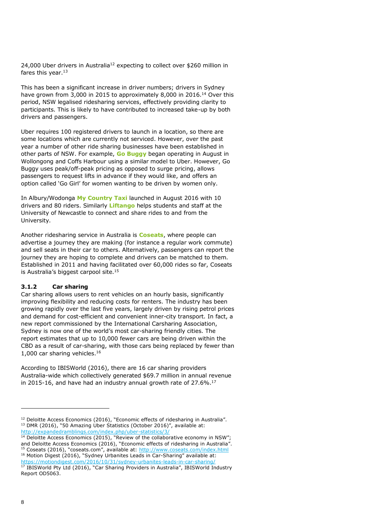24,000 Uber drivers in Australia<sup>12</sup> expecting to collect over \$260 million in fares this year. $13$ 

This has been a significant increase in driver numbers; drivers in Sydney have grown from 3,000 in 2015 to approximately 8,000 in 2016.<sup>14</sup> Over this period, NSW legalised ridesharing services, effectively providing clarity to participants. This is likely to have contributed to increased take-up by both drivers and passengers.

Uber requires 100 registered drivers to launch in a location, so there are some locations which are currently not serviced. However, over the past year a number of other ride sharing businesses have been established in other parts of NSW. For example, **Go Buggy** began operating in August in Wollongong and Coffs Harbour using a similar model to Uber. However, Go Buggy uses peak/off-peak pricing as opposed to surge pricing, allows passengers to request lifts in advance if they would like, and offers an option called 'Go Girl' for women wanting to be driven by women only.

In Albury/Wodonga **My Country Taxi** launched in August 2016 with 10 drivers and 80 riders. Similarly **Liftango** helps students and staff at the University of Newcastle to connect and share rides to and from the University.

Another ridesharing service in Australia is **Coseats**, where people can advertise a journey they are making (for instance a regular work commute) and sell seats in their car to others. Alternatively, passengers can report the journey they are hoping to complete and drivers can be matched to them. Established in 2011 and having facilitated over 60,000 rides so far, Coseats is Australia's biggest carpool site.<sup>15</sup>

#### **3.1.2 Car sharing**

Car sharing allows users to rent vehicles on an hourly basis, significantly improving flexibility and reducing costs for renters. The industry has been growing rapidly over the last five years, largely driven by rising petrol prices and demand for cost-efficient and convenient inner-city transport. In fact, a new report commissioned by the International Carsharing Association, Sydney is now one of the world's most car-sharing friendly cities. The report estimates that up to 10,000 fewer cars are being driven within the CBD as a result of car-sharing, with those cars being replaced by fewer than 1,000 car sharing vehicles.<sup>16</sup>

According to IBISWorld (2016), there are 16 car sharing providers Australia-wide which collectively generated \$69.7 million in annual revenue in 2015-16, and have had an industry annual growth rate of  $27.6\%$ .<sup>17</sup>

<sup>&</sup>lt;sup>12</sup> Deloitte Access Economics (2016), "Economic effects of ridesharing in Australia". <sup>13</sup> DMR (2016), "50 Amazing Uber Statistics (October 2016)", available at:

<http://expandedramblings.com/index.php/uber-statistics/3/>

<sup>&</sup>lt;sup>14</sup> Deloitte Access Economics (2015), "Review of the collaborative economy in NSW"; and Deloitte Access Economics (2016), "Economic effects of ridesharing in Australia". <sup>15</sup> Coseats (2016), "coseats.com", available at: <http://www.coseats.com/index.html> <sup>16</sup> Motion Digest (2016), "Sydney Urbanites Leads in Car-Sharing" available at: <https://motiondigest.com/2016/10/31/sydney-urbanites-leads-in-car-sharing/>

<sup>17</sup> IBISWorld Pty Ltd (2016), "Car Sharing Providers in Australia", IBISWorld Industry Report OD5063.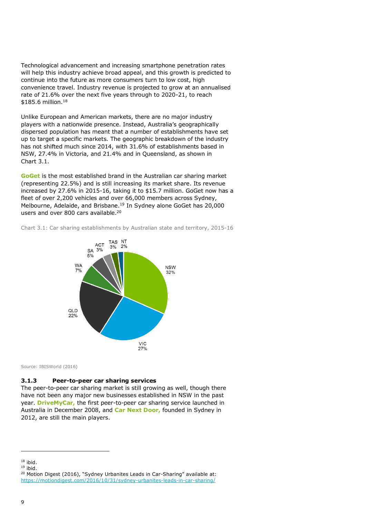Technological advancement and increasing smartphone penetration rates will help this industry achieve broad appeal, and this growth is predicted to continue into the future as more consumers turn to low cost, high convenience travel. Industry revenue is projected to grow at an annualised rate of 21.6% over the next five years through to 2020-21, to reach \$185.6 million.<sup>18</sup>

Unlike European and American markets, there are no major industry players with a nationwide presence. Instead, Australia's geographically dispersed population has meant that a number of establishments have set up to target a specific markets. The geographic breakdown of the industry has not shifted much since 2014, with 31.6% of establishments based in NSW, 27.4% in Victoria, and 21.4% and in Queensland, as shown in Chart 3.1.

**GoGet** is the most established brand in the Australian car sharing market (representing 22.5%) and is still increasing its market share. Its revenue increased by 27.6% in 2015-16, taking it to \$15.7 million. GoGet now has a fleet of over 2,200 vehicles and over 66,000 members across Sydney, Melbourne, Adelaide, and Brisbane.<sup>19</sup> In Sydney alone GoGet has 20,000 users and over 800 cars available.<sup>20</sup>

Chart 3.1: Car sharing establishments by Australian state and territory, 2015-16



Source: IBISWorld (2016)

#### **3.1.3 Peer-to-peer car sharing services**

The peer-to-peer car sharing market is still growing as well, though there have not been any major new businesses established in NSW in the past year. **DriveMyCar,** the first peer-to-peer car sharing service launched in Australia in December 2008, and **Car Next Door,** founded in Sydney in 2012, are still the main players.

 $18$  ibid.

 $19$  ibid.

<sup>&</sup>lt;sup>20</sup> Motion Digest (2016), "Sydney Urbanites Leads in Car-Sharing" available at: <https://motiondigest.com/2016/10/31/sydney-urbanites-leads-in-car-sharing/>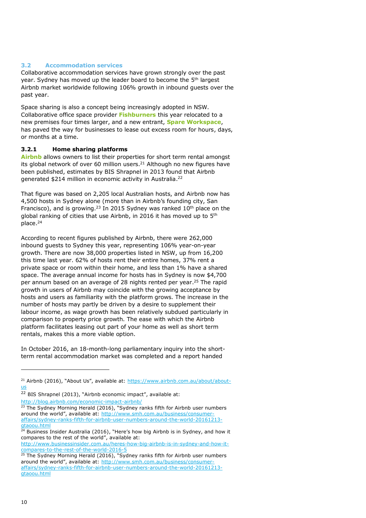#### **3.2 Accommodation services**

Collaborative accommodation services have grown strongly over the past year. Sydney has moved up the leader board to become the 5<sup>th</sup> largest Airbnb market worldwide following 106% growth in inbound guests over the past year.

Space sharing is also a concept being increasingly adopted in NSW. Collaborative office space provider **Fishburners** this year relocated to a new premises four times larger, and a new entrant, **Spare Workspace**, has paved the way for businesses to lease out excess room for hours, days, or months at a time.

#### **3.2.1 Home sharing platforms**

**Airbnb** allows owners to list their properties for short term rental amongst its global network of over 60 million users.<sup>21</sup> Although no new figures have been published, estimates by BIS Shrapnel in 2013 found that Airbnb generated \$214 million in economic activity in Australia.<sup>22</sup>

That figure was based on 2,205 local Australian hosts, and Airbnb now has 4,500 hosts in Sydney alone (more than in Airbnb's founding city, San Francisco), and is growing.<sup>23</sup> In 2015 Sydney was ranked  $10<sup>th</sup>$  place on the global ranking of cities that use Airbnb, in 2016 it has moved up to 5<sup>th</sup> place.<sup>24</sup>

According to recent figures published by Airbnb, there were 262,000 inbound guests to Sydney this year, representing 106% year-on-year growth. There are now 38,000 properties listed in NSW, up from 16,200 this time last year. 62% of hosts rent their entire homes, 37% rent a private space or room within their home, and less than 1% have a shared space. The average annual income for hosts has in Sydney is now \$4,700 per annum based on an average of 28 nights rented per year. <sup>25</sup> The rapid growth in users of Airbnb may coincide with the growing acceptance by hosts and users as familiarity with the platform grows. The increase in the number of hosts may partly be driven by a desire to supplement their labour income, as wage growth has been relatively subdued particularly in comparison to property price growth. The ease with which the Airbnb platform facilitates leasing out part of your home as well as short term rentals, makes this a more viable option.

In October 2016, an 18-month-long parliamentary inquiry into the shortterm rental accommodation market was completed and a report handed

[http://www.businessinsider.com.au/heres-how-big-airbnb-is-in-sydney-and-how-it](http://www.businessinsider.com.au/heres-how-big-airbnb-is-in-sydney-and-how-it-compares-to-the-rest-of-the-world-2016-5)[compares-to-the-rest-of-the-world-2016-5](http://www.businessinsider.com.au/heres-how-big-airbnb-is-in-sydney-and-how-it-compares-to-the-rest-of-the-world-2016-5)

<sup>&</sup>lt;sup>21</sup> Airbnb (2016), "About Us", available at: [https://www.airbnb.com.au/about/about](https://www.airbnb.com.au/about/about-us)[us](https://www.airbnb.com.au/about/about-us)

<sup>&</sup>lt;sup>22</sup> BIS Shrapnel (2013), "Airbnb economic impact", available at: <http://blog.airbnb.com/economic-impact-airbnb/>

 $23$  The Sydney Morning Herald (2016), "Sydney ranks fifth for Airbnb user numbers around the world", available at: [http://www.smh.com.au/business/consumer](http://www.smh.com.au/business/consumer-affairs/sydney-ranks-fifth-for-airbnb-user-numbers-around-the-world-20161213-gtaoou.html)[affairs/sydney-ranks-fifth-for-airbnb-user-numbers-around-the-world-20161213](http://www.smh.com.au/business/consumer-affairs/sydney-ranks-fifth-for-airbnb-user-numbers-around-the-world-20161213-gtaoou.html) [gtaoou.html](http://www.smh.com.au/business/consumer-affairs/sydney-ranks-fifth-for-airbnb-user-numbers-around-the-world-20161213-gtaoou.html)

 $24$  Business Insider Australia (2016), "Here's how big Airbnb is in Sydney, and how it compares to the rest of the world", available at:

<sup>&</sup>lt;sup>25</sup> The Sydney Morning Herald (2016), "Sydney ranks fifth for Airbnb user numbers around the world", available at: [http://www.smh.com.au/business/consumer](http://www.smh.com.au/business/consumer-affairs/sydney-ranks-fifth-for-airbnb-user-numbers-around-the-world-20161213-gtaoou.html)[affairs/sydney-ranks-fifth-for-airbnb-user-numbers-around-the-world-20161213](http://www.smh.com.au/business/consumer-affairs/sydney-ranks-fifth-for-airbnb-user-numbers-around-the-world-20161213-gtaoou.html) [gtaoou.html](http://www.smh.com.au/business/consumer-affairs/sydney-ranks-fifth-for-airbnb-user-numbers-around-the-world-20161213-gtaoou.html)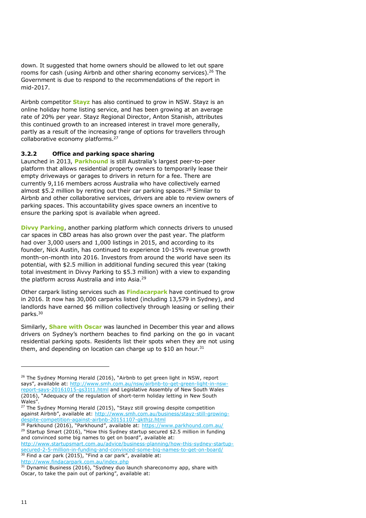down. It suggested that home owners should be allowed to let out spare rooms for cash (using Airbnb and other sharing economy services).<sup>26</sup> The Government is due to respond to the recommendations of the report in mid-2017.

Airbnb competitor **Stayz** has also continued to grow in NSW. Stayz is an online holiday home listing service, and has been growing at an average rate of 20% per year. Stayz Regional Director, Anton Stanish, attributes this continued growth to an increased interest in travel more generally, partly as a result of the increasing range of options for travellers through collaborative economy platforms.<sup>27</sup>

#### **3.2.2 Office and parking space sharing**

Launched in 2013, **Parkhound** is still Australia's largest peer-to-peer platform that allows residential property owners to temporarily lease their empty driveways or garages to drivers in return for a fee. There are currently 9,116 members across Australia who have collectively earned almost \$5.2 million by renting out their car parking spaces.<sup>28</sup> Similar to Airbnb and other collaborative services, drivers are able to review owners of parking spaces. This accountability gives space owners an incentive to ensure the parking spot is available when agreed.

**Divvy Parking**, another parking platform which connects drivers to unused car spaces in CBD areas has also grown over the past year. The platform had over 3,000 users and 1,000 listings in 2015, and according to its founder, Nick Austin, has continued to experience 10-15% revenue growth month-on-month into 2016. Investors from around the world have seen its potential, with \$2.5 million in additional funding secured this year (taking total investment in Divvy Parking to \$5.3 million) with a view to expanding the platform across Australia and into Asia.<sup>29</sup>

Other carpark listing services such as **Findacarpark** have continued to grow in 2016. It now has 30,000 carparks listed (including 13,579 in Sydney), and landlords have earned \$6 million collectively through leasing or selling their parks.<sup>30</sup>

Similarly, **Share with Oscar** was launched in December this year and allows drivers on Sydney's northern beaches to find parking on the go in vacant residential parking spots. Residents list their spots when they are not using them, and depending on location can charge up to \$10 an hour.<sup>31</sup>

<sup>28</sup> Parkhound (2016), "Parkhound", available at: <https://www.parkhound.com.au/> <sup>29</sup> Startup Smart (2016), "How this Sydney startup secured \$2.5 million in funding and convinced some big names to get on board", available at:

[http://www.startupsmart.com.au/advice/business-planning/how-this-sydney-startup](http://www.startupsmart.com.au/advice/business-planning/how-this-sydney-startup-secured-2-5-million-in-funding-and-convinced-some-big-names-to-get-on-board/)[secured-2-5-million-in-funding-and-convinced-some-big-names-to-get-on-board/](http://www.startupsmart.com.au/advice/business-planning/how-this-sydney-startup-secured-2-5-million-in-funding-and-convinced-some-big-names-to-get-on-board/)  $30$  Find a car park (2015), "Find a car park", available at: <http://www.findacarpark.com.au/index.php>

<sup>&</sup>lt;sup>26</sup> The Sydney Morning Herald (2016), "Airbnb to get green light in NSW, report says", available at: [http://www.smh.com.au/nsw/airbnb-to-get-green-light-in-nsw](http://www.smh.com.au/nsw/airbnb-to-get-green-light-in-nsw-report-says-20161015-gs31t1.html)[report-says-20161015-gs31t1.html](http://www.smh.com.au/nsw/airbnb-to-get-green-light-in-nsw-report-says-20161015-gs31t1.html) and Legislative Assembly of New South Wales (2016), "Adequacy of the regulation of short-term holiday letting in New South Wales".

<sup>&</sup>lt;sup>27</sup> The Sydney Morning Herald (2015), "Stayz still growing despite competition against Airbnb", available at: [http://www.smh.com.au/business/stayz-still-growing](http://www.smh.com.au/business/stayz-still-growing-despite-competition-against-airbnb-20151107-gkthjz.html)[despite-competition-against-airbnb-20151107-gkthjz.html](http://www.smh.com.au/business/stayz-still-growing-despite-competition-against-airbnb-20151107-gkthjz.html)

<sup>&</sup>lt;sup>31</sup> Dynamic Business (2016), "Sydney duo launch shareconomy app, share with Oscar, to take the pain out of parking", available at: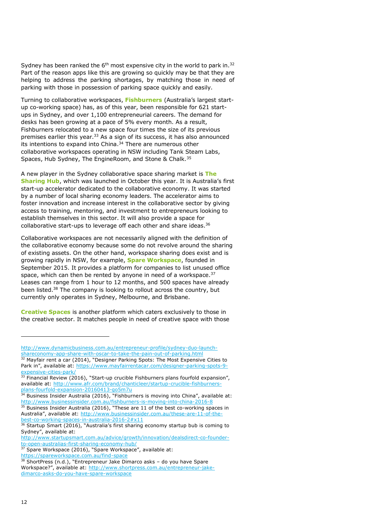Sydney has been ranked the  $6<sup>th</sup>$  most expensive city in the world to park in.<sup>32</sup> Part of the reason apps like this are growing so quickly may be that they are helping to address the parking shortages, by matching those in need of parking with those in possession of parking space quickly and easily.

Turning to collaborative workspaces, **Fishburners** (Australia's largest startup co-working space) has, as of this year, been responsible for 621 startups in Sydney, and over 1,100 entrepreneurial careers. The demand for desks has been growing at a pace of 5% every month. As a result, Fishburners relocated to a new space four times the size of its previous premises earlier this year.<sup>33</sup> As a sign of its success, it has also announced its intentions to expand into China. $34$  There are numerous other collaborative workspaces operating in NSW including Tank Steam Labs, Spaces, Hub Sydney, The EngineRoom, and Stone & Chalk.<sup>35</sup>

A new player in the Sydney collaborative space sharing market is **The Sharing Hub**, which was launched in October this year. It is Australia's first start-up accelerator dedicated to the collaborative economy. It was started by a number of local sharing economy leaders. The accelerator aims to foster innovation and increase interest in the collaborative sector by giving access to training, mentoring, and investment to entrepreneurs looking to establish themselves in this sector. It will also provide a space for collaborative start-ups to leverage off each other and share ideas.<sup>36</sup>

Collaborative workspaces are not necessarily aligned with the definition of the collaborative economy because some do not revolve around the sharing of existing assets. On the other hand, workspace sharing does exist and is growing rapidly in NSW, for example, **Spare Workspace**, founded in September 2015. It provides a platform for companies to list unused office space, which can then be rented by anyone in need of a workspace.<sup>37</sup> Leases can range from 1 hour to 12 months, and 500 spaces have already been listed.<sup>38</sup> The company is looking to rollout across the country, but currently only operates in Sydney, Melbourne, and Brisbane.

**Creative Spaces** is another platform which caters exclusively to those in the creative sector. It matches people in need of creative space with those

<https://spareworkspace.com.au/find-space>

[http://www.dynamicbusiness.com.au/entrepreneur-profile/sydney-duo-launch](http://www.dynamicbusiness.com.au/entrepreneur-profile/sydney-duo-launch-shareconomy-app-share-with-oscar-to-take-the-pain-out-of-parking.html)[shareconomy-app-share-with-oscar-to-take-the-pain-out-of-parking.html](http://www.dynamicbusiness.com.au/entrepreneur-profile/sydney-duo-launch-shareconomy-app-share-with-oscar-to-take-the-pain-out-of-parking.html)

<sup>32</sup> Mayfair rent a car (2014), "Designer Parking Spots: The Most Expensive Cities to Park in", available at: [https://www.mayfairrentacar.com/designer-parking-spots-9](https://www.mayfairrentacar.com/designer-parking-spots-9-expensive-cities-park/) [expensive-cities-park/](https://www.mayfairrentacar.com/designer-parking-spots-9-expensive-cities-park/) 

<sup>33</sup> Financial Review (2016), "Start-up crucible Fishburners plans fourfold expansion", available at: [http://www.afr.com/brand/chanticleer/startup-crucible-fishburners](http://www.afr.com/brand/chanticleer/startup-crucible-fishburners-plans-fourfold-expansion-20160413-go5m7u)[plans-fourfold-expansion-20160413-go5m7u](http://www.afr.com/brand/chanticleer/startup-crucible-fishburners-plans-fourfold-expansion-20160413-go5m7u)

 $34$  Business Insider Australia (2016), "Fishburners is moving into China", available at: <http://www.businessinsider.com.au/fishburners-is-moving-into-china-2016-8>

<sup>&</sup>lt;sup>35</sup> Business Insider Australia (2016), "These are 11 of the best co-working spaces in Australia", available at: [http://www.businessinsider.com.au/these-are-11-of-the](http://www.businessinsider.com.au/these-are-11-of-the-best-co-working-spaces-in-australia-2016-2#x11)[best-co-working-spaces-in-australia-2016-2#x11](http://www.businessinsider.com.au/these-are-11-of-the-best-co-working-spaces-in-australia-2016-2#x11)

 $36$  Startup Smart (2016), "Australia's first sharing economy startup bub is coming to Sydney", available at:

[http://www.startupsmart.com.au/advice/growth/innovation/dealsdirect-co-founder](http://www.startupsmart.com.au/advice/growth/innovation/dealsdirect-co-founder-to-open-australias-first-sharing-economy-hub/)[to-open-australias-first-sharing-economy-hub/](http://www.startupsmart.com.au/advice/growth/innovation/dealsdirect-co-founder-to-open-australias-first-sharing-economy-hub/)

 $37$  Spare Workspace (2016), "Spare Workspace", available at:

<sup>&</sup>lt;sup>38</sup> ShortPress (n.d.), "Entrepreneur Jake Dimarco asks - do you have Spare Workspace?", available at: [http://www.shortpress.com.au/entrepreneur-jake](http://www.shortpress.com.au/entrepreneur-jake-dimarco-asks-do-you-have-spare-workspace)[dimarco-asks-do-you-have-spare-workspace](http://www.shortpress.com.au/entrepreneur-jake-dimarco-asks-do-you-have-spare-workspace)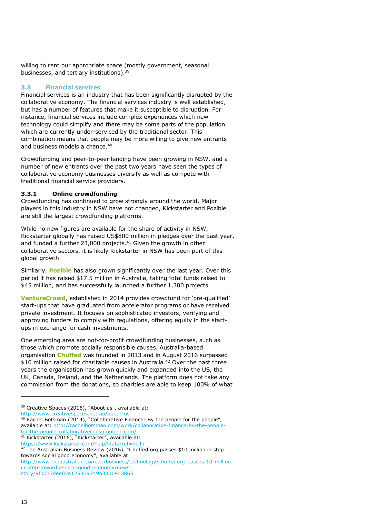willing to rent our appropriate space (mostly government, seasonal businesses, and tertiary institutions).<sup>39</sup>

### **3.3 Financial services**

Financial services is an industry that has been significantly disrupted by the collaborative economy. The financial services industry is well established, but has a number of features that make it susceptible to disruption. For instance, financial services include complex experiences which new technology could simplify and there may be some parts of the population which are currently under-serviced by the traditional sector. This combination means that people may be more willing to give new entrants and business models a chance.<sup>40</sup>

Crowdfunding and peer-to-peer lending have been growing in NSW, and a number of new entrants over the past two years have seen the types of collaborative economy businesses diversify as well as compete with traditional financial service providers.

#### **3.3.1 Online crowdfunding**

Crowdfunding has continued to grow strongly around the world. Major players in this industry in NSW have not changed, Kickstarter and Pozible are still the largest crowdfunding platforms.

While no new figures are available for the share of activity in NSW, Kickstarter globally has raised US\$800 million in pledges over the past year, and funded a further 23,000 projects. $41$  Given the growth in other collaborative sectors, it is likely Kickstarter in NSW has been part of this global growth.

Similarly, **Pozible** has also grown significantly over the last year. Over this period it has raised \$17.5 million in Australia, taking total funds raised to \$45 million, and has successfully launched a further 1,300 projects.

**VentureCrowd**, established in 2014 provides crowdfund for 'pre-qualified' start-ups that have graduated from accelerator programs or have received private investment. It focuses on sophisticated investors, verifying and approving funders to comply with regulations, offering equity in the startups in exchange for cash investments.

One emerging area are not-for-profit crowdfunding businesses, such as those which promote socially responsible causes. Australia-based organisation **Chuffed** was founded in 2013 and in August 2016 surpassed \$10 million raised for charitable causes in Australia.<sup>42</sup> Over the past three years the organisation has grown quickly and expanded into the US, the UK, Canada, Ireland, and the Netherlands. The platform does not take any commission from the donations, so charities are able to keep 100% of what

<http://www.creativespaces.net.au/about-us>

<sup>&</sup>lt;sup>39</sup> Creative Spaces (2016), "About us", available at:

<sup>&</sup>lt;sup>40</sup> Rachel Botsman (2014), "Collaborative Finance: By the people for the people", available at: [http://rachelbotsman.com/work/collaborative-finance-by-the-people](http://rachelbotsman.com/work/collaborative-finance-by-the-people-for-the-people-collaborativeconsumption-com/)[for-the-people-collaborativeconsumption-com/](http://rachelbotsman.com/work/collaborative-finance-by-the-people-for-the-people-collaborativeconsumption-com/)

<sup>41</sup> Kickstarter (2016), "Kickstarter", available at:

<https://www.kickstarter.com/help/stats?ref=hello>

 $42$  The Australian Business Review (2016), "Chuffed.org passes \$10 million in step towards social good economy", available at:

[http://www.theaustralian.com.au/business/technology/chuffedorg-passes-10-million](http://www.theaustralian.com.au/business/technology/chuffedorg-passes-10-million-in-step-towards-social-good-economy/news-story/9f0017dee02a125309749b3300943865)[in-step-towards-social-good-economy/news-](http://www.theaustralian.com.au/business/technology/chuffedorg-passes-10-million-in-step-towards-social-good-economy/news-story/9f0017dee02a125309749b3300943865)

[story/9f0017dee02a125309749b3300943865](http://www.theaustralian.com.au/business/technology/chuffedorg-passes-10-million-in-step-towards-social-good-economy/news-story/9f0017dee02a125309749b3300943865)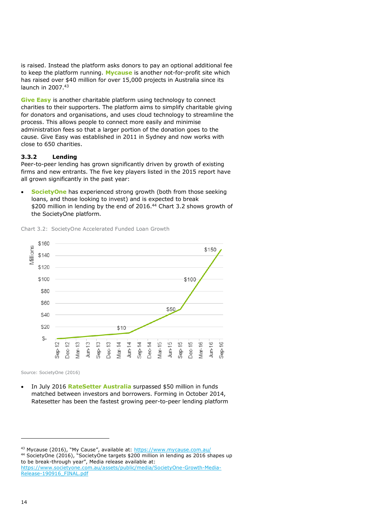is raised. Instead the platform asks donors to pay an optional additional fee to keep the platform running. **Mycause** is another not-for-profit site which has raised over \$40 million for over 15,000 projects in Australia since its launch in 2007.<sup>43</sup>

**Give Easy** is another charitable platform using technology to connect charities to their supporters. The platform aims to simplify charitable giving for donators and organisations, and uses cloud technology to streamline the process. This allows people to connect more easily and minimise administration fees so that a larger portion of the donation goes to the cause. Give Easy was established in 2011 in Sydney and now works with close to 650 charities.

#### **3.3.2 Lending**

Peer-to-peer lending has grown significantly driven by growth of existing firms and new entrants. The five key players listed in the 2015 report have all grown significantly in the past year:

 **SocietyOne** has experienced strong growth (both from those seeking loans, and those looking to invest) and is expected to break \$200 million in lending by the end of 2016.<sup>44</sup> Chart 3.2 shows growth of the SocietyOne platform.





Source: SocietyOne (2016)

 In July 2016 **RateSetter Australia** surpassed \$50 million in funds matched between investors and borrowers. Forming in October 2014, Ratesetter has been the fastest growing peer-to-peer lending platform

<sup>43</sup> Mycause (2016), "My Cause", available at: <https://www.mycause.com.au/> <sup>44</sup> SocietyOne (2016), "SocietyOne targets \$200 million in lending as 2016 shapes up to be break-through year", Media release available at: [https://www.societyone.com.au/assets/public/media/SocietyOne-Growth-Media-](https://www.societyone.com.au/assets/public/media/SocietyOne-Growth-Media-Release-190916_FINAL.pdf)[Release-190916\\_FINAL.pdf](https://www.societyone.com.au/assets/public/media/SocietyOne-Growth-Media-Release-190916_FINAL.pdf)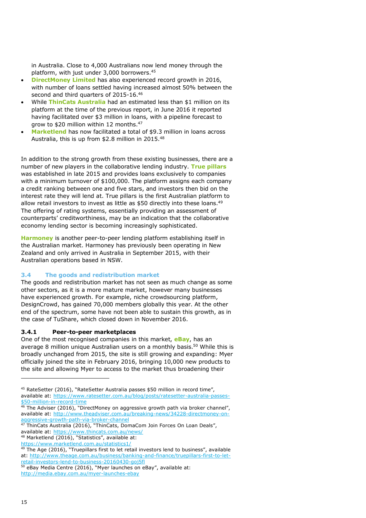in Australia. Close to 4,000 Australians now lend money through the platform, with just under 3,000 borrowers. 45

- **DirectMoney Limited** has also experienced record growth in 2016, with number of loans settled having increased almost 50% between the second and third quarters of 2015-16.<sup>46</sup>
- While **ThinCats Australia** had an estimated less than \$1 million on its platform at the time of the previous report, in June 2016 it reported having facilitated over \$3 million in loans, with a pipeline forecast to grow to \$20 million within 12 months.<sup>47</sup>
- **Marketlend** has now facilitated a total of \$9.3 million in loans across Australia, this is up from \$2.8 million in 2015.<sup>48</sup>

In addition to the strong growth from these existing businesses, there are a number of new players in the collaborative lending industry. **True pillars** was established in late 2015 and provides loans exclusively to companies with a minimum turnover of \$100,000. The platform assigns each company a credit ranking between one and five stars, and investors then bid on the interest rate they will lend at. True pillars is the first Australian platform to allow retail investors to invest as little as \$50 directly into these loans.<sup>49</sup> The offering of rating systems, essentially providing an assessment of counterparts' creditworthiness, may be an indication that the collaborative economy lending sector is becoming increasingly sophisticated.

**Harmoney** is another peer-to-peer lending platform establishing itself in the Australian market. Harmoney has previously been operating in New Zealand and only arrived in Australia in September 2015, with their Australian operations based in NSW.

#### **3.4 The goods and redistribution market**

The goods and redistribution market has not seen as much change as some other sectors, as it is a more mature market, however many businesses have experienced growth. For example, niche crowdsourcing platform, DesignCrowd, has gained 70,000 members globally this year. At the other end of the spectrum, some have not been able to sustain this growth, as in the case of TuShare, which closed down in November 2016.

#### **3.4.1 Peer-to-peer marketplaces**

One of the most recognised companies in this market, **eBay**, has an average 8 million unique Australian users on a monthly basis. <sup>50</sup> While this is broadly unchanged from 2015, the site is still growing and expanding: Myer officially joined the site in February 2016, bringing 10,000 new products to the site and allowing Myer to access to the market thus broadening their

<sup>47</sup> ThinCats Australia (2016), "ThinCats, DomaCom Join Forces On Loan Deals", available at:<https://www.thincats.com.au/news/>

<sup>45</sup> RateSetter (2016), "RateSetter Australia passes \$50 million in record time", available at: [https://www.ratesetter.com.au/blog/posts/ratesetter-australia-passes-](https://www.ratesetter.com.au/blog/posts/ratesetter-australia-passes-$50-million-in-record-time) [\\$50-million-in-record-time](https://www.ratesetter.com.au/blog/posts/ratesetter-australia-passes-$50-million-in-record-time)

<sup>46</sup> The Adviser (2016), "DirectMoney on aggressive growth path via broker channel", available at: [http://www.theadviser.com.au/breaking-news/34228-directmoney-on](http://www.theadviser.com.au/breaking-news/34228-directmoney-on-aggressive-growth-path-via-broker-channel)[aggressive-growth-path-via-broker-channel](http://www.theadviser.com.au/breaking-news/34228-directmoney-on-aggressive-growth-path-via-broker-channel)

<sup>48</sup> Marketlend (2016), "Statistics", available at:

<https://www.marketlend.com.au/statistics1/>

 $49$  The Age (2016), "Truepillars first to let retail investors lend to business", available at: [http://www.theage.com.au/business/banking-and-finance/truepillars-first-to-let](http://www.theage.com.au/business/banking-and-finance/truepillars-first-to-let-retail-investors-lend-to-business-20160430-goj5fl)[retail-investors-lend-to-business-20160430-goj5fl](http://www.theage.com.au/business/banking-and-finance/truepillars-first-to-let-retail-investors-lend-to-business-20160430-goj5fl)

eBay Media Centre (2016), "Myer launches on eBay", available at:

<http://media.ebay.com.au/myer-launches-ebay>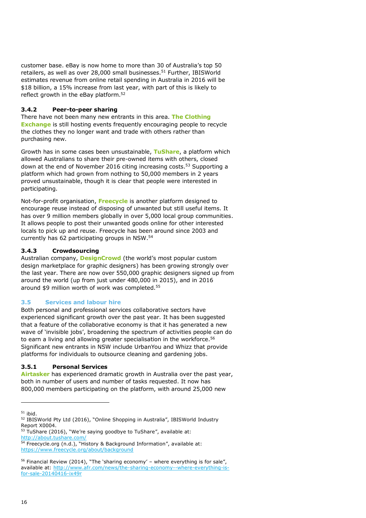customer base. eBay is now home to more than 30 of Australia's top 50 retailers, as well as over 28,000 small businesses.<sup>51</sup> Further, IBISWorld estimates revenue from online retail spending in Australia in 2016 will be \$18 billion, a 15% increase from last year, with part of this is likely to reflect growth in the eBay platform. 52

### **3.4.2 Peer-to-peer sharing**

There have not been many new entrants in this area. **The Clothing Exchange** is still hosting events frequently encouraging people to recycle the clothes they no longer want and trade with others rather than purchasing new.

Growth has in some cases been unsustainable, **TuShare**, a platform which allowed Australians to share their pre-owned items with others, closed down at the end of November 2016 citing increasing costs.<sup>53</sup> Supporting a platform which had grown from nothing to 50,000 members in 2 years proved unsustainable, though it is clear that people were interested in participating.

Not-for-profit organisation, **Freecycle** is another platform designed to encourage reuse instead of disposing of unwanted but still useful items. It has over 9 million members globally in over 5,000 local group communities. It allows people to post their unwanted goods online for other interested locals to pick up and reuse. Freecycle has been around since 2003 and currently has 62 participating groups in NSW.<sup>54</sup>

#### **3.4.3 Crowdsourcing**

Australian company, **DesignCrowd** (the world's most popular custom design marketplace for graphic designers) has been growing strongly over the last year. There are now over 550,000 graphic designers signed up from around the world (up from just under 480,000 in 2015), and in 2016 around \$9 million worth of work was completed.<sup>55</sup>

### **3.5 Services and labour hire**

Both personal and professional services collaborative sectors have experienced significant growth over the past year. It has been suggested that a feature of the collaborative economy is that it has generated a new wave of 'invisible jobs', broadening the spectrum of activities people can do to earn a living and allowing greater specialisation in the workforce.<sup>56</sup> Significant new entrants in NSW include UrbanYou and Whizz that provide platforms for individuals to outsource cleaning and gardening jobs.

#### **3.5.1 Personal Services**

**Airtasker** has experienced dramatic growth in Australia over the past year, both in number of users and number of tasks requested. It now has 800,000 members participating on the platform, with around 25,000 new

 $51$  ibid.

<sup>&</sup>lt;sup>52</sup> IBISWorld Pty Ltd (2016), "Online Shopping in Australia", IBISWorld Industry Report X0004.

 $53$  TuShare (2016), "We're saying goodbye to TuShare", available at: <http://about.tushare.com/>

<sup>54</sup> Freecycle.org (n.d.), "History & Background Information", available at: <https://www.freecycle.org/about/background>

 $56$  Financial Review (2014), "The 'sharing economy' – where everything is for sale", available at: [http://www.afr.com/news/the-sharing-economy--where-everything-is](http://www.afr.com/news/the-sharing-economy--where-everything-is-for-sale-20140416-ix49r)[for-sale-20140416-ix49r](http://www.afr.com/news/the-sharing-economy--where-everything-is-for-sale-20140416-ix49r)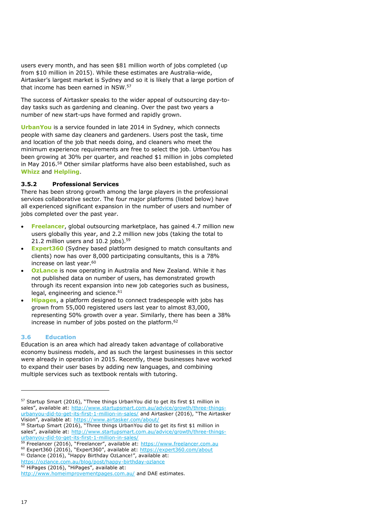users every month, and has seen \$81 million worth of jobs completed (up from \$10 million in 2015). While these estimates are Australia-wide, Airtasker's largest market is Sydney and so it is likely that a large portion of that income has been earned in NSW.<sup>57</sup>

The success of Airtasker speaks to the wider appeal of outsourcing day-today tasks such as gardening and cleaning. Over the past two years a number of new start-ups have formed and rapidly grown.

**UrbanYou** is a service founded in late 2014 in Sydney, which connects people with same day cleaners and gardeners. Users post the task, time and location of the job that needs doing, and cleaners who meet the minimum experience requirements are free to select the job. UrbanYou has been growing at 30% per quarter, and reached \$1 million in jobs completed in May 2016.<sup>58</sup> Other similar platforms have also been established, such as **Whizz** and **Helpling**.

#### **3.5.2 Professional Services**

There has been strong growth among the large players in the professional services collaborative sector. The four major platforms (listed below) have all experienced significant expansion in the number of users and number of jobs completed over the past year.

- **Freelancer**, global outsourcing marketplace, has gained 4.7 million new users globally this year, and 2.2 million new jobs (taking the total to 21.2 million users and  $10.2$  jobs).<sup>59</sup>
- **Expert360** (Sydney based platform designed to match consultants and clients) now has over 8,000 participating consultants, this is a 78% increase on last year.<sup>60</sup>
- **OzLance** is now operating in Australia and New Zealand. While it has not published data on number of users, has demonstrated growth through its recent expansion into new job categories such as business, legal, engineering and science. 61
- **Hipages**, a platform designed to connect tradespeople with jobs has grown from 55,000 registered users last year to almost 83,000, representing 50% growth over a year. Similarly, there has been a 38% increase in number of jobs posted on the platform. 62

#### **3.6 Education**

Education is an area which had already taken advantage of collaborative economy business models, and as such the largest businesses in this sector were already in operation in 2015. Recently, these businesses have worked to expand their user bases by adding new languages, and combining multiple services such as textbook rentals with tutoring.

<sup>57</sup> Startup Smart (2016), "Three things UrbanYou did to get its first \$1 million in sales", available at: [http://www.startupsmart.com.au/advice/growth/three-things](http://www.startupsmart.com.au/advice/growth/three-things-urbanyou-did-to-get-its-first-1-million-in-sales/)[urbanyou-did-to-get-its-first-1-million-in-sales/](http://www.startupsmart.com.au/advice/growth/three-things-urbanyou-did-to-get-its-first-1-million-in-sales/) and Airtasker (2016), "The Airtasker Vision", available at: <https://www.airtasker.com/about/>

<sup>58</sup> Startup Smart (2016), "Three things UrbanYou did to get its first \$1 million in sales", available at: [http://www.startupsmart.com.au/advice/growth/three-things](http://www.startupsmart.com.au/advice/growth/three-things-urbanyou-did-to-get-its-first-1-million-in-sales/)[urbanyou-did-to-get-its-first-1-million-in-sales/](http://www.startupsmart.com.au/advice/growth/three-things-urbanyou-did-to-get-its-first-1-million-in-sales/)

<sup>&</sup>lt;sup>59</sup> Freelancer (2016), "Freelancer", available at: [https://www.freelancer.com.au](https://www.freelancer.com.au/) <sup>60</sup> Expert360 (2016), "Expert360", available at: <https://expert360.com/about>

<sup>&</sup>lt;sup>61</sup> Ozlance (2016), "Happy Birthday OzLance!", available at: <https://ozlance.com.au/blog/post/happy-birthday-ozlance>

HiPages (2016), "HiPages", available at:

<http://www.homeimprovementpages.com.au/> and DAE estimates.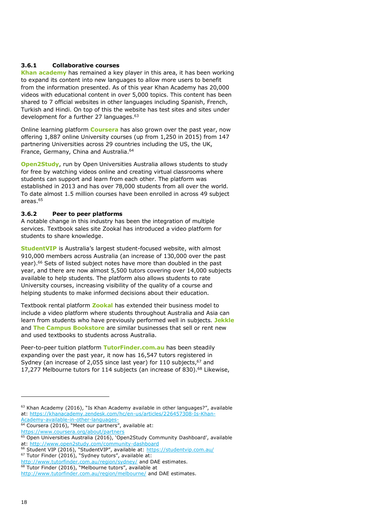#### **3.6.1 Collaborative courses**

**Khan academy** has remained a key player in this area, it has been working to expand its content into new languages to allow more users to benefit from the information presented. As of this year Khan Academy has 20,000 videos with educational content in over 5,000 topics. This content has been shared to 7 official websites in other languages including Spanish, French, Turkish and Hindi. On top of this the website has test sites and sites under development for a further 27 languages.<sup>63</sup>

Online learning platform **Coursera** has also grown over the past year, now offering 1,887 online University courses (up from 1,250 in 2015) from 147 partnering Universities across 29 countries including the US, the UK, France, Germany, China and Australia.<sup>64</sup>

**Open2Study**, run by Open Universities Australia allows students to study for free by watching videos online and creating virtual classrooms where students can support and learn from each other. The platform was established in 2013 and has over 78,000 students from all over the world. To date almost 1.5 million courses have been enrolled in across 49 subject areas.<sup>65</sup>

#### **3.6.2 Peer to peer platforms**

A notable change in this industry has been the integration of multiple services. Textbook sales site Zookal has introduced a video platform for students to share knowledge.

**StudentVIP** is Australia's largest student-focused website, with almost 910,000 members across Australia (an increase of 130,000 over the past year). <sup>66</sup> Sets of listed subject notes have more than doubled in the past year, and there are now almost 5,500 tutors covering over 14,000 subjects available to help students. The platform also allows students to rate University courses, increasing visibility of the quality of a course and helping students to make informed decisions about their education.

Textbook rental platform **Zookal** has extended their business model to include a video platform where students throughout Australia and Asia can learn from students who have previously performed well in subjects. **Jekkle**  and **The Campus Bookstore** are similar businesses that sell or rent new and used textbooks to students across Australia.

Peer-to-peer tuition platform **TutorFinder.com.au** has been steadily expanding over the past year, it now has 16,547 tutors registered in Sydney (an increase of 2,055 since last year) for 110 subjects, <sup>67</sup> and 17,277 Melbourne tutors for 114 subjects (an increase of 830).<sup>68</sup> Likewise,

<sup>67</sup> Tutor Finder (2016), "Sydney tutors", available at:

 $63$  Khan Academy (2016), "Is Khan Academy available in other languages?", available at: [https://khanacademy.zendesk.com/hc/en-us/articles/226457308-Is-Khan-](https://khanacademy.zendesk.com/hc/en-us/articles/226457308-Is-Khan-Academy-available-in-other-languages-)[Academy-available-in-other-languages-](https://khanacademy.zendesk.com/hc/en-us/articles/226457308-Is-Khan-Academy-available-in-other-languages-)

<sup>&</sup>lt;sup>64</sup> Coursera (2016), "Meet our partners", available at:

<https://www.coursera.org/about/partners>

<sup>&</sup>lt;sup>65</sup> Open Universities Australia (2016), 'Open2Study Community Dashboard', available at:<http://www.open2study.com/community-dashboard>

<sup>&</sup>lt;sup>66</sup> Student VIP (2016), "StudentVIP", available at: <https://studentvip.com.au/>

<http://www.tutorfinder.com.au/region/sydney/> and DAE estimates.

Tutor Finder (2016), "Melbourne tutors", available at

<http://www.tutorfinder.com.au/region/melbourne/> and DAE estimates.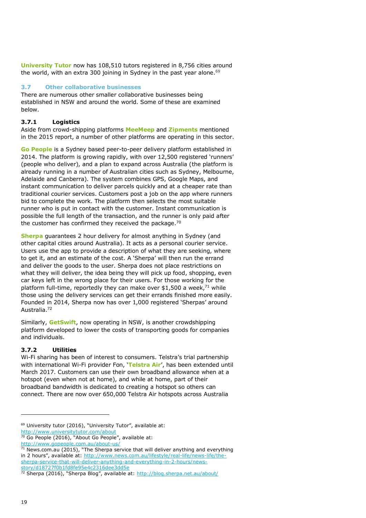**University Tutor** now has 108,510 tutors registered in 8,756 cities around the world, with an extra 300 joining in Sydney in the past year alone.<sup>69</sup>

### **3.7 Other collaborative businesses**

There are numerous other smaller collaborative businesses being established in NSW and around the world. Some of these are examined below.

### **3.7.1 Logistics**

Aside from crowd-shipping platforms **MeeMeep** and **Zipments** mentioned in the 2015 report, a number of other platforms are operating in this sector.

**Go People** is a Sydney based peer-to-peer delivery platform established in 2014. The platform is growing rapidly, with over 12,500 registered 'runners' (people who deliver), and a plan to expand across Australia (the platform is already running in a number of Australian cities such as Sydney, Melbourne, Adelaide and Canberra). The system combines GPS, Google Maps, and instant communication to deliver parcels quickly and at a cheaper rate than traditional courier services. Customers post a job on the app where runners bid to complete the work. The platform then selects the most suitable runner who is put in contact with the customer. Instant communication is possible the full length of the transaction, and the runner is only paid after the customer has confirmed they received the package.<sup>70</sup>

**Sherpa** guarantees 2 hour delivery for almost anything in Sydney (and other capital cities around Australia). It acts as a personal courier service. Users use the app to provide a description of what they are seeking, where to get it, and an estimate of the cost. A 'Sherpa' will then run the errand and deliver the goods to the user. Sherpa does not place restrictions on what they will deliver, the idea being they will pick up food, shopping, even car keys left in the wrong place for their users. For those working for the platform full-time, reportedly they can make over \$1,500 a week, $^{71}$  while those using the delivery services can get their errands finished more easily. Founded in 2014, Sherpa now has over 1,000 registered 'Sherpas' around Australia.<sup>72</sup>

Similarly, **GetSwift**, now operating in NSW, is another crowdshipping platform developed to lower the costs of transporting goods for companies and individuals.

### **3.7.2 Utilities**

Wi-Fi sharing has been of interest to consumers. Telstra's trial partnership with international Wi-Fi provider Fon, '**Telstra Air**', has been extended until March 2017. Customers can use their own broadband allowance when at a hotspot (even when not at home), and while at home, part of their broadband bandwidth is dedicated to creating a hotspot so others can connect. There are now over 650,000 Telstra Air hotspots across Australia

<sup>&</sup>lt;sup>69</sup> University tutor (2016), "University Tutor", available at:

<http://www.universitytutor.com/about>

 $70$  Go People (2016), "About Go People", available at: <http://www.gopeople.com.au/about-us/>

 $71$  News.com.au (2015), "The Sherpa service that will deliver anything and everything in 2 hours", available at: [http://www.news.com.au/lifestyle/real-life/news-life/the](http://www.news.com.au/lifestyle/real-life/news-life/the-sherpa-service-that-will-deliver-anything-and-everything-in-2-hours/news-story/d18727f0b1fd8fe95e4c2316dee3dd5e)[sherpa-service-that-will-deliver-anything-and-everything-in-2-hours/news](http://www.news.com.au/lifestyle/real-life/news-life/the-sherpa-service-that-will-deliver-anything-and-everything-in-2-hours/news-story/d18727f0b1fd8fe95e4c2316dee3dd5e)[story/d18727f0b1fd8fe95e4c2316dee3dd5e](http://www.news.com.au/lifestyle/real-life/news-life/the-sherpa-service-that-will-deliver-anything-and-everything-in-2-hours/news-story/d18727f0b1fd8fe95e4c2316dee3dd5e)

<sup>&</sup>lt;sup>72</sup> Sherpa (2016), "Sherpa Blog", available at: http://blog.sherpa.net.au/about/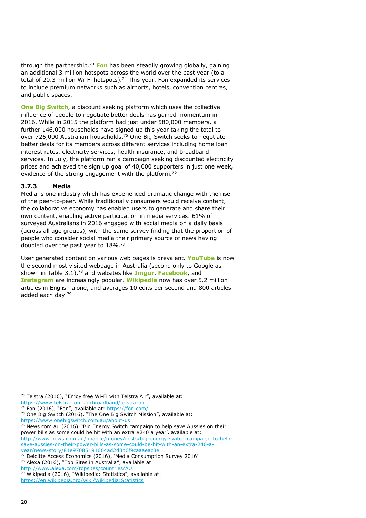through the partnership.<sup>73</sup> **Fon** has been steadily growing globally, gaining an additional 3 million hotspots across the world over the past year (to a total of 20.3 million Wi-Fi hotspots).<sup>74</sup> This year, Fon expanded its services to include premium networks such as airports, hotels, convention centres, and public spaces.

**One Big Switch**, a discount seeking platform which uses the collective influence of people to negotiate better deals has gained momentum in 2016. While in 2015 the platform had just under 580,000 members, a further 146,000 households have signed up this year taking the total to over 726,000 Australian households. <sup>75</sup> One Big Switch seeks to negotiate better deals for its members across different services including home loan interest rates, electricity services, health insurance, and broadband services. In July, the platform ran a campaign seeking discounted electricity prices and achieved the sign up goal of 40,000 supporters in just one week, evidence of the strong engagement with the platform.<sup>76</sup>

#### **3.7.3 Media**

Media is one industry which has experienced dramatic change with the rise of the peer-to-peer. While traditionally consumers would receive content, the collaborative economy has enabled users to generate and share their own content, enabling active participation in media services. 61% of surveyed Australians in 2016 engaged with social media on a daily basis (across all age groups), with the same survey finding that the proportion of people who consider social media their primary source of news having doubled over the past year to 18%.<sup>77</sup>

User generated content on various web pages is prevalent. **YouTube** is now the second most visited webpage in Australia (second only to Google as shown in Table 3.1),<sup>78</sup> and websites like **Imgur**, **Facebook**, and **Instagram** are increasingly popular. **Wikipedia** now has over 5.2 million articles in English alone, and averages 10 edits per second and 800 articles added each day.<sup>79</sup>

<https://www.onebigswitch.com.au/about-us>

<http://www.alexa.com/topsites/countries/AU>

<sup>73</sup> Telstra (2016), "Enjoy free Wi-Fi with Telstra Air", available at: <https://www.telstra.com.au/broadband/telstra-air>

Fon (2016), "Fon", available at: <https://fon.com/>

<sup>&</sup>lt;sup>75</sup> One Big Switch (2016), "The One Big Switch Mission", available at:

 $76$  News.com.au (2016), 'Big Energy Switch campaign to help save Aussies on their power bills as some could be hit with an extra \$240 a year', available at: [http://www.news.com.au/finance/money/costs/big-energy-switch-campaign-to-help](http://www.news.com.au/finance/money/costs/big-energy-switch-campaign-to-help-save-aussies-on-their-power-bills-as-some-could-be-hit-with-an-extra-240-a-year/news-story/81e97085194064ad2d8b6f9caaaeac3e)[save-aussies-on-their-power-bills-as-some-could-be-hit-with-an-extra-240-a-](http://www.news.com.au/finance/money/costs/big-energy-switch-campaign-to-help-save-aussies-on-their-power-bills-as-some-could-be-hit-with-an-extra-240-a-year/news-story/81e97085194064ad2d8b6f9caaaeac3e)

[year/news-story/81e97085194064ad2d8b6f9caaaeac3e](http://www.news.com.au/finance/money/costs/big-energy-switch-campaign-to-help-save-aussies-on-their-power-bills-as-some-could-be-hit-with-an-extra-240-a-year/news-story/81e97085194064ad2d8b6f9caaaeac3e) <sup>77</sup> Deloitte Access Economics (2016), 'Media Consumption Survey 2016'.

<sup>78</sup> Alexa (2016), "Top Sites in Australia", available at:

<sup>79</sup> Wikipedia (2016), "Wikipedia: Statistics", available at:

<https://en.wikipedia.org/wiki/Wikipedia:Statistics>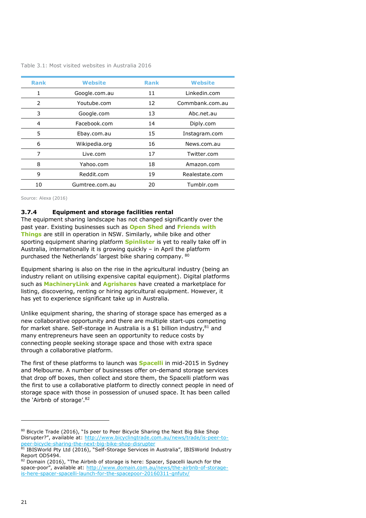| Table 3.1: Most visited websites in Australia 2016 |  |
|----------------------------------------------------|--|
|----------------------------------------------------|--|

| <b>Rank</b>   | <b>Website</b> | <b>Rank</b> | <b>Website</b>  |
|---------------|----------------|-------------|-----------------|
| 1             | Google.com.au  | 11          | Linkedin.com    |
| $\mathcal{P}$ | Youtube.com    | 12          | Commbank.com.au |
| 3             | Google.com     | 13          | Abc.net.au      |
| 4             | Facebook.com   | 14          | Diply.com       |
| 5             | Ebay.com.au    | 15          | Instagram.com   |
| 6             | Wikipedia.org  | 16          | News.com.au     |
| 7             | Live.com       | 17          | Twitter.com     |
| 8             | Yahoo.com      | 18          | Amazon.com      |
| 9             | Reddit.com     | 19          | Realestate.com  |
| 10            | Gumtree.com.au | 20          | Tumblr.com      |

Source: Alexa (2016)

#### **3.7.4 Equipment and storage facilities rental**

The equipment sharing landscape has not changed significantly over the past year. Existing businesses such as **Open Shed** and **Friends with Things** are still in operation in NSW. Similarly, while bike and other sporting equipment sharing platform **Spinlister** is yet to really take off in Australia, internationally it is growing quickly – in April the platform purchased the Netherlands' largest bike sharing company. <sup>80</sup>

Equipment sharing is also on the rise in the agricultural industry (being an industry reliant on utilising expensive capital equipment). Digital platforms such as **MachineryLink** and **Agrishares** have created a marketplace for listing, discovering, renting or hiring agricultural equipment. However, it has yet to experience significant take up in Australia.

Unlike equipment sharing, the sharing of storage space has emerged as a new collaborative opportunity and there are multiple start-ups competing for market share. Self-storage in Australia is a \$1 billion industry.<sup>81</sup> and many entrepreneurs have seen an opportunity to reduce costs by connecting people seeking storage space and those with extra space through a collaborative platform.

The first of these platforms to launch was **Spacelli** in mid-2015 in Sydney and Melbourne. A number of businesses offer on-demand storage services that drop off boxes, then collect and store them, the Spacelli platform was the first to use a collaborative platform to directly connect people in need of storage space with those in possession of unused space. It has been called the 'Airbnb of storage'.<sup>82</sup>

<sup>&</sup>lt;sup>80</sup> Bicycle Trade (2016), "Is peer to Peer Bicycle Sharing the Next Big Bike Shop Disrupter?", available at: [http://www.bicyclingtrade.com.au/news/trade/is-peer-to](http://www.bicyclingtrade.com.au/news/trade/is-peer-to-peer-bicycle-sharing-the-next-big-bike-shop-disrupter)[peer-bicycle-sharing-the-next-big-bike-shop-disrupter](http://www.bicyclingtrade.com.au/news/trade/is-peer-to-peer-bicycle-sharing-the-next-big-bike-shop-disrupter)

<sup>81</sup> IBISWorld Pty Ltd (2016), "Self-Storage Services in Australia", IBISWorld Industry Report OD5494.

<sup>82</sup> Domain (2016), "The Airbnb of storage is here: Spacer, Spacelli launch for the space-poor", available at: [http://www.domain.com.au/news/the-airbnb-of-storage](http://www.domain.com.au/news/the-airbnb-of-storage-is-here-spacer-spacelli-launch-for-the-spacepoor-20160311-gnfutv/)[is-here-spacer-spacelli-launch-for-the-spacepoor-20160311-gnfutv/](http://www.domain.com.au/news/the-airbnb-of-storage-is-here-spacer-spacelli-launch-for-the-spacepoor-20160311-gnfutv/)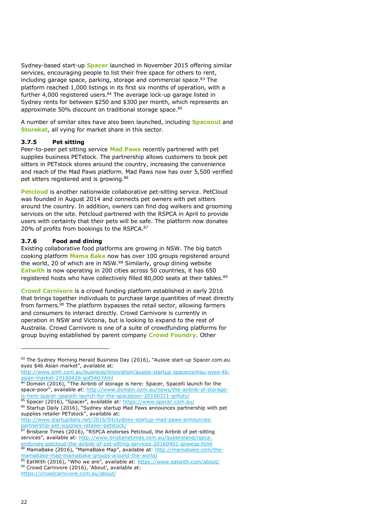Sydney-based start-up **Spacer** launched in November 2015 offering similar services, encouraging people to list their free space for others to rent, including garage space, parking, storage and commercial space. <sup>83</sup> The platform reached 1,000 listings in its first six months of operation, with a further 4,000 registered users.<sup>84</sup> The average lock-up garage listed in Sydney rents for between \$250 and \$300 per month, which represents an approximate 50% discount on traditional storage space.<sup>85</sup>

A number of similar sites have also been launched, including **Spaceout** and **Storekat**, all vying for market share in this sector.

#### **3.7.5 Pet sitting**

Peer-to-peer pet sitting service **Mad Paws** recently partnered with pet supplies business PETstock. The partnership allows customers to book pet sitters in PETstock stores around the country, increasing the convenience and reach of the Mad Paws platform. Mad Paws now has over 5,500 verified pet sitters registered and is growing.<sup>86</sup>

**Petcloud** is another nationwide collaborative pet-sitting service. PetCloud was founded in August 2014 and connects pet owners with pet sitters around the country. In addition, owners can find dog walkers and grooming services on the site. Petcloud partnered with the RSPCA in April to provide users with certainty that their pets will be safe. The platform now donates 20% of profits from bookings to the RSPCA.<sup>87</sup>

#### **3.7.6 Food and dining**

Existing collaborative food platforms are growing in NSW. The big batch cooking platform **Mama Bake** now has over 100 groups registered around the world, 20 of which are in NSW.<sup>88</sup> Similarly, group dining website **Eatwith** is now operating in 200 cities across 50 countries, it has 650 registered hosts who have collectively filled 80,000 seats at their tables.<sup>89</sup>

**Crowd Carnivore** is a crowd funding platform established in early 2016 that brings together individuals to purchase large quantities of meat directly from farmers.<sup>90</sup> The platform bypasses the retail sector, allowing farmers and consumers to interact directly. Crowd Carnivore is currently in operation in NSW and Victoria, but is looking to expand to the rest of Australia. Crowd Carnivore is one of a suite of crowdfunding platforms for group buying established by parent company **Crowd Foundry**. Other

[mamabake-map-mamabake-groups-around-the-world/](http://mamabake.com/the-mamabake-map-mamabake-groups-around-the-world/)

i,

<sup>83</sup> The Sydney Morning Herald Business Day (2016), "Aussie start-up Spacer.com.au eyes \$4b Asian market", available at:

[http://www.smh.com.au/business/innovation/aussie-startup-spacercomau-eyes-4b](http://www.smh.com.au/business/innovation/aussie-startup-spacercomau-eyes-4b-asian-market-20160426-gof540.html)[asian-market-20160426-gof540.html](http://www.smh.com.au/business/innovation/aussie-startup-spacercomau-eyes-4b-asian-market-20160426-gof540.html)

<sup>84</sup> Domain (2016), "The Airbnb of storage is here: Spacer, Spacelli launch for the space-poor", available at: [http://www.domain.com.au/news/the-airbnb-of-storage](http://www.domain.com.au/news/the-airbnb-of-storage-is-here-spacer-spacelli-launch-for-the-spacepoor-20160311-gnfutv/)[is-here-spacer-spacelli-launch-for-the-spacepoor-20160311-gnfutv/](http://www.domain.com.au/news/the-airbnb-of-storage-is-here-spacer-spacelli-launch-for-the-spacepoor-20160311-gnfutv/)

<sup>85</sup> Spacer (2016), "Spacer", available at: <https://www.spacer.com.au/> 86 Startup Daily (2016), "Sydney startup Mad Paws announces partnership with pet supplies retailer PETstock", available at:

[http://www.startupdaily.net/2016/04/sydney-startup-mad-paws-announces](http://www.startupdaily.net/2016/04/sydney-startup-mad-paws-announces-partnership-pet-supplies-retailer-petstock/)[partnership-pet-supplies-retailer-petstock/](http://www.startupdaily.net/2016/04/sydney-startup-mad-paws-announces-partnership-pet-supplies-retailer-petstock/)

<sup>87</sup> Brisbane Times (2016), "RSPCA endorses Petcloud, the Airbnb of pet-sitting services", available at: [http://www.brisbanetimes.com.au/queensland/rspca](http://www.brisbanetimes.com.au/queensland/rspca-endorses-petcloud-the-airbnb-of-pet-sitting-services-20160401-gnwesp.html)[endorses-petcloud-the-airbnb-of-pet-sitting-services-20160401-gnwesp.html](http://www.brisbanetimes.com.au/queensland/rspca-endorses-petcloud-the-airbnb-of-pet-sitting-services-20160401-gnwesp.html) 88 MamaBake (2016), "MamaBake Map", available at: [http://mamabake.com/the-](http://mamabake.com/the-mamabake-map-mamabake-groups-around-the-world/)

 $89$  EatWith (2016), "Who we are", available at: <https://www.eatwith.com/about/> 90 Crowd Carnivore (2016), 'About', available at:

<https://crowdcarnivore.com.au/about/>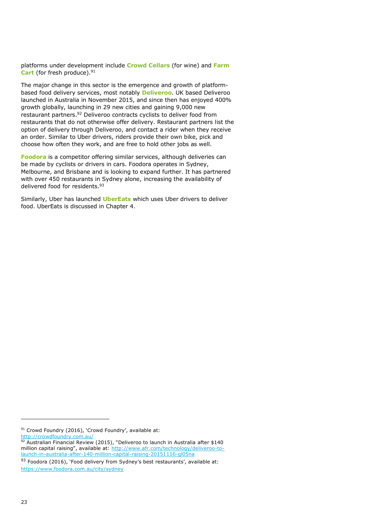platforms under development include **Crowd Cellars** (for wine) and **Farm Cart** (for fresh produce). 91

The major change in this sector is the emergence and growth of platformbased food delivery services, most notably **Deliveroo**. UK based Deliveroo launched in Australia in November 2015, and since then has enjoyed 400% growth globally, launching in 29 new cities and gaining 9,000 new restaurant partners.<sup>92</sup> Deliveroo contracts cyclists to deliver food from restaurants that do not otherwise offer delivery. Restaurant partners list the option of delivery through Deliveroo, and contact a rider when they receive an order. Similar to Uber drivers, riders provide their own bike, pick and choose how often they work, and are free to hold other jobs as well.

**Foodora** is a competitor offering similar services, although deliveries can be made by cyclists or drivers in cars. Foodora operates in Sydney, Melbourne, and Brisbane and is looking to expand further. It has partnered with over 450 restaurants in Sydney alone, increasing the availability of delivered food for residents.<sup>93</sup>

Similarly, Uber has launched **UberEats** which uses Uber drivers to deliver food. UberEats is discussed in Chapter 4.

<sup>91</sup> Crowd Foundry (2016), 'Crowd Foundry', available at:

<http://crowdfoundry.com.au/>

 $92$  Australian Financial Review (2015), "Deliveroo to launch in Australia after \$140 million capital raising", available at: [http://www.afr.com/technology/deliveroo-to](http://www.afr.com/technology/deliveroo-to-launch-in-australia-after-140-million-capital-raising-20151116-gl05na)[launch-in-australia-after-140-million-capital-raising-20151116-gl05na](http://www.afr.com/technology/deliveroo-to-launch-in-australia-after-140-million-capital-raising-20151116-gl05na)

<sup>93</sup> Foodora (2016), 'Food delivery from Sydney's best restaurants', available at: <https://www.foodora.com.au/city/sydney>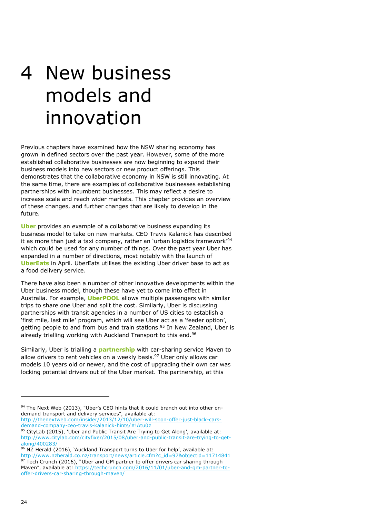# 4 New business models and innovation

Previous chapters have examined how the NSW sharing economy has grown in defined sectors over the past year. However, some of the more established collaborative businesses are now beginning to expand their business models into new sectors or new product offerings. This demonstrates that the collaborative economy in NSW is still innovating. At the same time, there are examples of collaborative businesses establishing partnerships with incumbent businesses. This may reflect a desire to increase scale and reach wider markets. This chapter provides an overview of these changes, and further changes that are likely to develop in the future.

**Uber** provides an example of a collaborative business expanding its business model to take on new markets. CEO Travis Kalanick has described it as more than just a taxi company, rather an 'urban logistics framework'<sup>94</sup> which could be used for any number of things. Over the past year Uber has expanded in a number of directions, most notably with the launch of **UberEats** in April. UberEats utilises the existing Uber driver base to act as a food delivery service.

There have also been a number of other innovative developments within the Uber business model, though these have yet to come into effect in Australia. For example, **UberPOOL** allows multiple passengers with similar trips to share one Uber and split the cost. Similarly, Uber is discussing partnerships with transit agencies in a number of US cities to establish a 'first mile, last mile' program, which will see Uber act as a 'feeder option', getting people to and from bus and train stations.<sup>95</sup> In New Zealand, Uber is already trialling working with Auckland Transport to this end.<sup>96</sup>

Similarly, Uber is trialling a **partnership** with car-sharing service Maven to allow drivers to rent vehicles on a weekly basis.<sup>97</sup> Uber only allows car models 10 years old or newer, and the cost of upgrading their own car was locking potential drivers out of the Uber market. The partnership, at this

[http://thenextweb.com/insider/2013/12/10/uber-will-soon-offer-just-black-cars](http://thenextweb.com/insider/2013/12/10/uber-will-soon-offer-just-black-cars-demand-company-ceo-travis-kalanick-hints/#!Atu0z)[demand-company-ceo-travis-kalanick-hints/#!Atu0z](http://thenextweb.com/insider/2013/12/10/uber-will-soon-offer-just-black-cars-demand-company-ceo-travis-kalanick-hints/#!Atu0z)

96 NZ Herald (2016), 'Auckland Transport turns to Uber for help', available at: [http://www.nzherald.co.nz/transport/news/article.cfm?c\\_id=97&objectid=11714841](http://www.nzherald.co.nz/transport/news/article.cfm?c_id=97&objectid=11714841)  $97$  Tech Crunch (2016), "Uber and GM partner to offer drivers car sharing through Maven", available at: [https://techcrunch.com/2016/11/01/uber-and-gm-partner-to](https://techcrunch.com/2016/11/01/uber-and-gm-partner-to-offer-drivers-car-sharing-through-maven/)[offer-drivers-car-sharing-through-maven/](https://techcrunch.com/2016/11/01/uber-and-gm-partner-to-offer-drivers-car-sharing-through-maven/)

<sup>94</sup> The Next Web (2013), "Uber's CEO hints that it could branch out into other ondemand transport and delivery services", available at:

 $95$  CityLab (2015), `Uber and Public Transit Are Trying to Get Along', available at: [http://www.citylab.com/cityfixer/2015/08/uber-and-public-transit-are-trying-to-get](http://www.citylab.com/cityfixer/2015/08/uber-and-public-transit-are-trying-to-get-along/400283/)[along/400283/](http://www.citylab.com/cityfixer/2015/08/uber-and-public-transit-are-trying-to-get-along/400283/)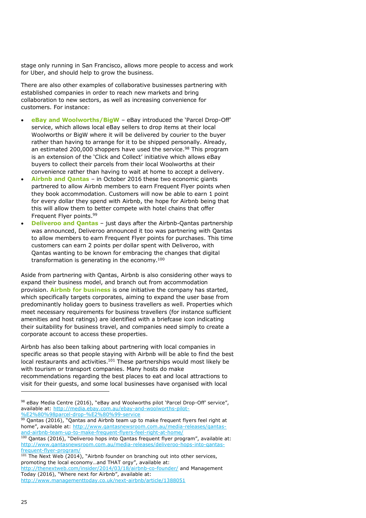stage only running in San Francisco, allows more people to access and work for Uber, and should help to grow the business.

There are also other examples of collaborative businesses partnering with established companies in order to reach new markets and bring collaboration to new sectors, as well as increasing convenience for customers. For instance:

- **eBay and Woolworths/BigW** eBay introduced the 'Parcel Drop-Off' service, which allows local eBay sellers to drop items at their local Woolworths or BigW where it will be delivered by courier to the buyer rather than having to arrange for it to be shipped personally. Already, an estimated 200,000 shoppers have used the service.<sup>98</sup> This program is an extension of the 'Click and Collect' initiative which allows eBay buyers to collect their parcels from their local Woolworths at their convenience rather than having to wait at home to accept a delivery.
- **Airbnb and Qantas** in October 2016 these two economic giants partnered to allow Airbnb members to earn Frequent Flyer points when they book accommodation. Customers will now be able to earn 1 point for every dollar they spend with Airbnb, the hope for Airbnb being that this will allow them to better compete with hotel chains that offer Frequent Flyer points.<sup>99</sup>
- **Deliveroo and Qantas** just days after the Airbnb-Qantas partnership was announced, Deliveroo announced it too was partnering with Qantas to allow members to earn Frequent Flyer points for purchases. This time customers can earn 2 points per dollar spent with Deliveroo, with Qantas wanting to be known for embracing the changes that digital transformation is generating in the economy.<sup>100</sup>

Aside from partnering with Qantas, Airbnb is also considering other ways to expand their business model, and branch out from accommodation provision. **Airbnb for business** is one initiative the company has started, which specifically targets corporates, aiming to expand the user base from predominantly holiday goers to business travellers as well. Properties which meet necessary requirements for business travellers (for instance sufficient amenities and host ratings) are identified with a briefcase icon indicating their suitability for business travel, and companies need simply to create a corporate account to access these properties.

Airbnb has also been talking about partnering with local companies in specific areas so that people staying with Airbnb will be able to find the best local restaurants and activities.<sup>101</sup> These partnerships would most likely be with tourism or transport companies. Many hosts do make recommendations regarding the best places to eat and local attractions to visit for their guests, and some local businesses have organised with local

<sup>98</sup> eBay Media Centre (2016), "eBay and Woolworths pilot 'Parcel Drop-Off' service", available at: [http://media.ebay.com.au/ebay-and-woolworths-pilot-](http://media.ebay.com.au/ebay-and-woolworths-pilot-%E2%80%98parcel-drop-%E2%80%99-service) [%E2%80%98parcel-drop-%E2%80%99-service](http://media.ebay.com.au/ebay-and-woolworths-pilot-%E2%80%98parcel-drop-%E2%80%99-service)

<sup>99</sup> Qantas (2016), "Qantas and Airbnb team up to make frequent flyers feel right at home", available at: [http://www.qantasnewsroom.com.au/media-releases/qantas](http://www.qantasnewsroom.com.au/media-releases/qantas-and-airbnb-team-up-to-make-frequent-flyers-feel-right-at-home/)[and-airbnb-team-up-to-make-frequent-flyers-feel-right-at-home/](http://www.qantasnewsroom.com.au/media-releases/qantas-and-airbnb-team-up-to-make-frequent-flyers-feel-right-at-home/)

<sup>&</sup>lt;sup>100</sup> Qantas (2016), "Deliveroo hops into Qantas frequent flyer program", available at: [http://www.qantasnewsroom.com.au/media-releases/deliveroo-hops-into-qantas](http://www.qantasnewsroom.com.au/media-releases/deliveroo-hops-into-qantas-frequent-flyer-program/)[frequent-flyer-program/](http://www.qantasnewsroom.com.au/media-releases/deliveroo-hops-into-qantas-frequent-flyer-program/)

 $101$  The Next Web (2014), "Airbnb founder on branching out into other services, promoting the local economy…and THAT orgy", available at: <http://thenextweb.com/insider/2014/03/18/airbnb-co-founder/> and Management Today (2016), "Where next for Airbnb", available at:

<http://www.managementtoday.co.uk/next-airbnb/article/1388051>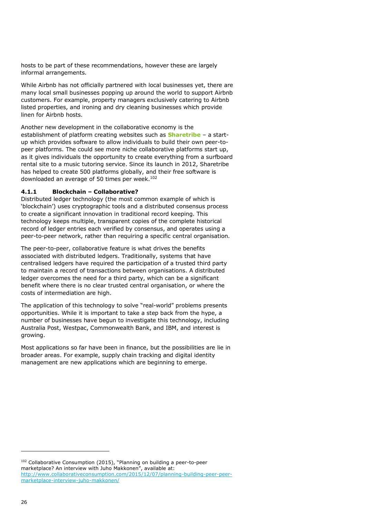hosts to be part of these recommendations, however these are largely informal arrangements.

While Airbnb has not officially partnered with local businesses yet, there are many local small businesses popping up around the world to support Airbnb customers. For example, property managers exclusively catering to Airbnb listed properties, and ironing and dry cleaning businesses which provide linen for Airbnb hosts.

Another new development in the collaborative economy is the establishment of platform creating websites such as **Sharetribe** – a startup which provides software to allow individuals to build their own peer-topeer platforms. The could see more niche collaborative platforms start up, as it gives individuals the opportunity to create everything from a surfboard rental site to a music tutoring service. Since its launch in 2012, Sharetribe has helped to create 500 platforms globally, and their free software is downloaded an average of 50 times per week.<sup>102</sup>

#### **4.1.1 Blockchain – Collaborative?**

Distributed ledger technology (the most common example of which is 'blockchain') uses cryptographic tools and a distributed consensus process to create a significant innovation in traditional record keeping. This technology keeps multiple, transparent copies of the complete historical record of ledger entries each verified by consensus, and operates using a peer-to-peer network, rather than requiring a specific central organisation.

The peer-to-peer, collaborative feature is what drives the benefits associated with distributed ledgers. Traditionally, systems that have centralised ledgers have required the participation of a trusted third party to maintain a record of transactions between organisations. A distributed ledger overcomes the need for a third party, which can be a significant benefit where there is no clear trusted central organisation, or where the costs of intermediation are high.

The application of this technology to solve "real-world" problems presents opportunities. While it is important to take a step back from the hype, a number of businesses have begun to investigate this technology, including Australia Post, Westpac, Commonwealth Bank, and IBM, and interest is growing.

Most applications so far have been in finance, but the possibilities are lie in broader areas. For example, supply chain tracking and digital identity management are new applications which are beginning to emerge.

<sup>&</sup>lt;sup>102</sup> Collaborative Consumption (2015), "Planning on building a peer-to-peer marketplace? An interview with Juho Makkonen", available at: [http://www.collaborativeconsumption.com/2015/12/07/planning-building-peer-peer](http://www.collaborativeconsumption.com/2015/12/07/planning-building-peer-peer-marketplace-interview-juho-makkonen/)[marketplace-interview-juho-makkonen/](http://www.collaborativeconsumption.com/2015/12/07/planning-building-peer-peer-marketplace-interview-juho-makkonen/)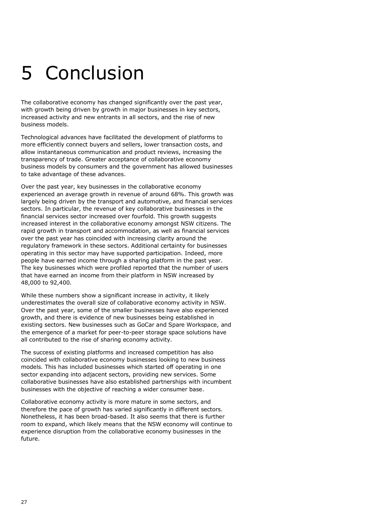# 5 Conclusion

The collaborative economy has changed significantly over the past year, with growth being driven by growth in major businesses in key sectors, increased activity and new entrants in all sectors, and the rise of new business models.

Technological advances have facilitated the development of platforms to more efficiently connect buyers and sellers, lower transaction costs, and allow instantaneous communication and product reviews, increasing the transparency of trade. Greater acceptance of collaborative economy business models by consumers and the government has allowed businesses to take advantage of these advances.

Over the past year, key businesses in the collaborative economy experienced an average growth in revenue of around 68%. This growth was largely being driven by the transport and automotive, and financial services sectors. In particular, the revenue of key collaborative businesses in the financial services sector increased over fourfold. This growth suggests increased interest in the collaborative economy amongst NSW citizens. The rapid growth in transport and accommodation, as well as financial services over the past year has coincided with increasing clarity around the regulatory framework in these sectors. Additional certainty for businesses operating in this sector may have supported participation. Indeed, more people have earned income through a sharing platform in the past year. The key businesses which were profiled reported that the number of users that have earned an income from their platform in NSW increased by 48,000 to 92,400.

While these numbers show a significant increase in activity, it likely underestimates the overall size of collaborative economy activity in NSW. Over the past year, some of the smaller businesses have also experienced growth, and there is evidence of new businesses being established in existing sectors. New businesses such as GoCar and Spare Workspace, and the emergence of a market for peer-to-peer storage space solutions have all contributed to the rise of sharing economy activity.

The success of existing platforms and increased competition has also coincided with collaborative economy businesses looking to new business models. This has included businesses which started off operating in one sector expanding into adjacent sectors, providing new services. Some collaborative businesses have also established partnerships with incumbent businesses with the objective of reaching a wider consumer base.

Collaborative economy activity is more mature in some sectors, and therefore the pace of growth has varied significantly in different sectors. Nonetheless, it has been broad-based. It also seems that there is further room to expand, which likely means that the NSW economy will continue to experience disruption from the collaborative economy businesses in the future.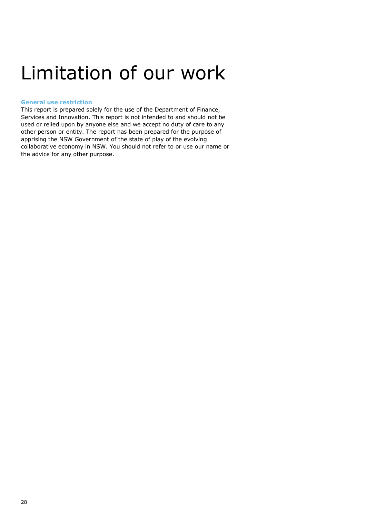### Limitation of our work

#### **General use restriction**

This report is prepared solely for the use of the Department of Finance, Services and Innovation. This report is not intended to and should not be used or relied upon by anyone else and we accept no duty of care to any other person or entity. The report has been prepared for the purpose of apprising the NSW Government of the state of play of the evolving collaborative economy in NSW. You should not refer to or use our name or the advice for any other purpose.